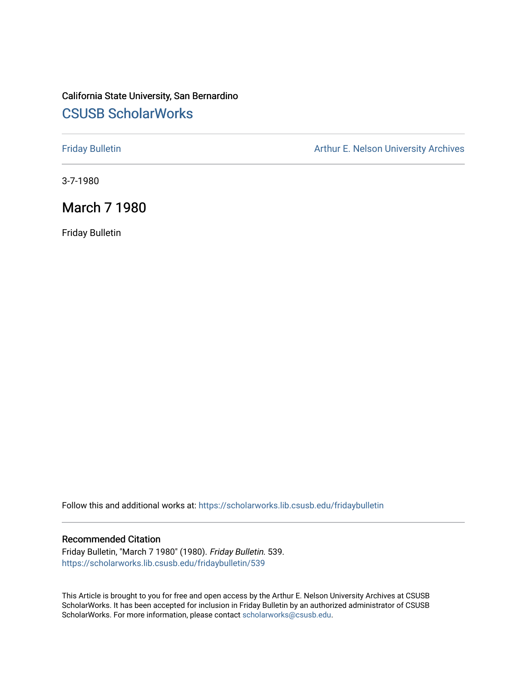# California State University, San Bernardino [CSUSB ScholarWorks](https://scholarworks.lib.csusb.edu/)

[Friday Bulletin](https://scholarworks.lib.csusb.edu/fridaybulletin) **Arthur E. Nelson University Archives** Arthur E. Nelson University Archives

3-7-1980

# March 7 1980

Friday Bulletin

Follow this and additional works at: [https://scholarworks.lib.csusb.edu/fridaybulletin](https://scholarworks.lib.csusb.edu/fridaybulletin?utm_source=scholarworks.lib.csusb.edu%2Ffridaybulletin%2F539&utm_medium=PDF&utm_campaign=PDFCoverPages)

# Recommended Citation

Friday Bulletin, "March 7 1980" (1980). Friday Bulletin. 539. [https://scholarworks.lib.csusb.edu/fridaybulletin/539](https://scholarworks.lib.csusb.edu/fridaybulletin/539?utm_source=scholarworks.lib.csusb.edu%2Ffridaybulletin%2F539&utm_medium=PDF&utm_campaign=PDFCoverPages)

This Article is brought to you for free and open access by the Arthur E. Nelson University Archives at CSUSB ScholarWorks. It has been accepted for inclusion in Friday Bulletin by an authorized administrator of CSUSB ScholarWorks. For more information, please contact [scholarworks@csusb.edu.](mailto:scholarworks@csusb.edu)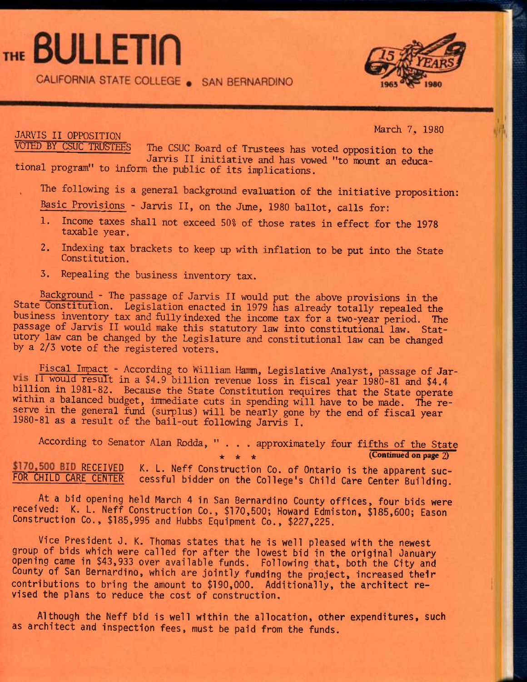# THE BULLETIN

CALIFORNIA STATE COLLEGE . SAN BERNARDINO



JARVIS II OPPOSITION

March 7, 1980

The CSUC Board of Trustees has voted opposition to the Jarvis II initiative and has vowed "to mount an educational program" to inform the public of Its inplications.

The following is a general background evaluation of the initiative proposition:

Basic Provisions - Jarvis II, on the June, 1980 ballot, calls for:

- 1. Income taxes shall not exceed 50% of those rates in effect for the 1978 taxable year.
- 2. Indexing tax brackets to keep up with inflation to be put into the State Constitution.
- 3. Repealing the business inventory tax.

Background - The passage of Jarvis IX would put the above provisions in the State Constitution. Legislation enacted in 1979 has already totally repealed the business inventory tax and fullyindexed the income tax for a two-year period. The passage of Jarvis II would make this statutory law into constitutional law. Statutory law can be changed by the Legislature and constitutional law can be changed by a 2/3 vote of the registered voters.

Fiscal Impact - According to William Hamm, Legislative Analyst, passage of Jarvis II would result in a \$4.9 billion revenue loss in fiscal year 1980-81 and \$4.4 billion in 1981-82. Because the State Constitution requires that the State operate within a balanced budget, immediate cuts in spending will have to be made. The reserve in the general fund (surplus) will be nearly gone by the end of fiscal year 1980-81 as a result of the bail-out following Jarvis I.

According to Senator Alan Rodda, "... approximately four fifths of the State \* \* \* (Continued on page **2)** 

\$170,500 BID RECEIVED K. L. Neff Construction Co. of Ontario is the apparent suc-<br>FOR CHILD CARE CENTER cessful bidder on the College's Child Care Center Building cessful bidder on the College's Child Care Center Building.

**At a bid opening held March 4 in San Bernardino County offices, four bids were received:^ K. L. Neff Construction Co., \$170,500; Howard Edmiston, \$185,600; Eason Construction Co., \$185,995 and Hubbs Equipment Co., \$227,225.** 

**Vice President J. K. Thomas states that he is well pleased with the newest group of bids which were called for after the lowest bid in the original January opening came in \$43,933 over available funds. Following that, both the City and County of San Bernardino, which are jointly funding the project, increased their contributions to bring the amount to \$190,000. Additionally, the architect revised the plans to reduce the cost of construction.** 

**Although the Neff bid is well within the allocation, other expenditures, such as architect and inspection fees, must be paid from the funds.**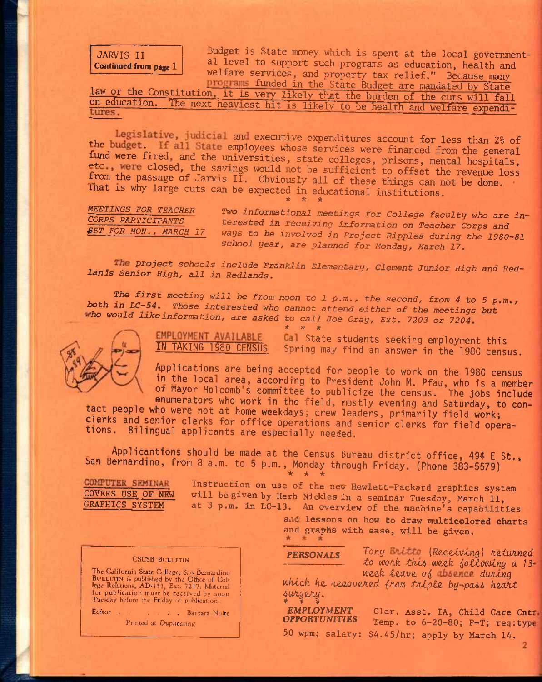JARVIS II Continued from page 1

Budget is State money which is spent at the local governmental level to support such programs as education, health and welfare services, and property tax relief." Because many

programs funded in the State Budget are mandated by State law or the Constitution, it is very likely that the burden of the cuts will fall on education. The next heaviest hit is likely to be health and welfare expendi-

Legislative, judicial and executive expenditures account for less than 2% of the budget. If all State employees whose services were financed from the general fund were fired, and the universities, state colleges, prisons, mental hospitals, etc., were closed, the savings would not be sufficient to offset the revenue loss from the passage of Jarvis II. Obviously all of these things can not be done. Inat is why large cuts can be expected in educational institutions. *\* it \** 

*MEETINGS FOR TEACHER CORPS PARTICIPANTS ^ET FOR MON., MARCH 17* 

*Two* informational *meetings for College* faculty *who are interested in receiving information on Teacher Corps and ways to be involved in Project Ripples* during *the 1980-81 school year, are planned for Monday, March 17.* 

The project schools include Franklin Elementary, Clement Junior High and Red*lands Senior High, all in Redlands.* 

*The first meeting will be from noon to 1 p.m., the second, from 4 to 5 p.m., both in LC-54. Those interested who cannot attend either of the meetings but ho would like information, are asked to call Joe Gray, Ext. 7203 or 7204.* 

*^ ^ it* 



EMPLOYMENT AVAILABLE

Cal State students seeking employment this **IN TAKING 1980 CENSUS Spring may find an answer in the 1980 census.** 

**Applications are being accepted for people to work on the 1980 census**  in the local area, according to President John M. Pfau, who is a member **ot Mayor Holcomb s committee to publicize the census. The jobs include** 

**enumerators who work in the field, mostly evening and Saturday, to contact people who were not at home weekdays; crew leaders, primarily field work; clerks and semor clerks for office operations and senior clerks for field operations, Bilingual applicants are especially needed.** 

**Applicantions should be made at the Census Bureau district office, 494 E St., San Bernardino, from 8 a.m. to 5 p.m., Monday through Friday. (Phone 383-5579) \* \* \*** 

COMPUTER SEMINAR

Instruction on use of the new Hewlett-Packard graphics system COVERS USE OF NEW will be given by Herb Nickles in a seminar Tuesday, March 11, GRAPHICS SYSTEM at 3 p.m. in LC-13. An overview of the machine's canability at 3 p.m. in LC-13. An overview of the machine's capabilities

and lessons on how to draw multicolored charts and graphs with ease, will be given.

PERSONALS Tony Britto (Receiving) returned

*to wo/ik tlvu weefe lollowtng a 13* week leave of **bsenc** during

which he recovered from triple by-pass heart *6uAg2Jiy. \* % i* 

*EMPLOYMENT* Cler. Asst. IA, Child Care Cntr.<br>**OPPORTUNITIES** Temp to 6-20-80; P-T; required Temp. to 6-20-80; P-T; req:type 50 wpm; salary: \$4.45/hr; apply by March 14.

## **CSCSB BULLETIN**

The California State College, San Bernardino BuLLhTiN is published by the Office of Col-lege Relations, AD-151, Ext. 7217. Mutcnal tor publication must be received by noon Tuesday before the Friday of publication.

Editor Barbara Nolte

Printed at Duplicating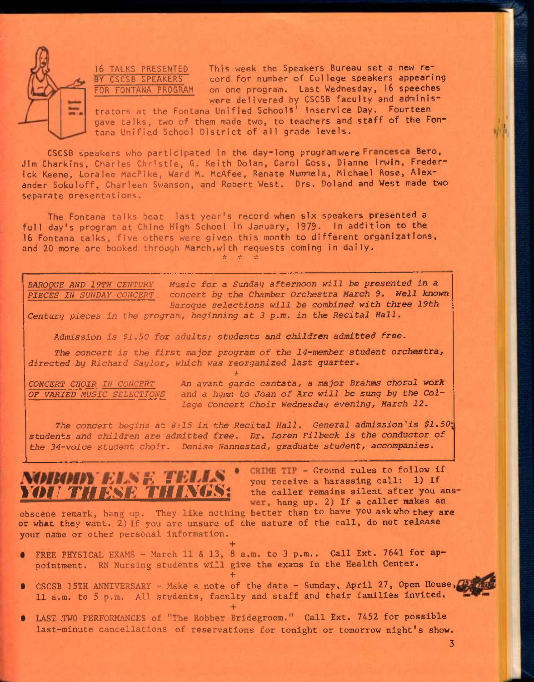

16 TALKS PRESENTED This week the Speakers Bureau set a new re-<br>BY CSCSB SPEAKERS cord for number of College speakers appeari cord for number of College speakers appearing FOR FONTANA PROGRAM on one program. Last Wednesday. 16 speeches were delivered by CSCSB faculty and adminis-

trators at the Fontana Unified Schools' Inservice Day. Fourteen gave talks, two of them made two, to teachers and staff of the Fontana Unified School District of all grade levels.

CSCSB speakers who participated in the day-long program were Francesca Bero, Jim Charkins, Charles Christie, G. Keith Dolan, Carol Goss, Dianne Irwin, Frederick Keene, Loralee MacPike, Ward M. McAfee, Renate Nummela, Michael Rose, Alexander Sokoloff, Charleen Swanson, and Robert West. Drs. Poland and West made two separate presentations.

The Fontana talks beat last year's record when six speakers presented a full day's program at Chino High School in January, 1979. In addition to the 16 Fontana talks, five others were given this month to different organizations, and 20 more are booked through March,with requests coming in daily. *\* \* i:* 

*BAROQUE AND 19TH CENTURY Music for a Sunday afternoon will be presented in a PIECES IN SUNDAY CONCERT . concert by the Chamber Orchestra March 9. Well known Baroque selections will be combined with three 19th Century pieces in the program, beginning at 3 p,m, in the Recital Hall.* 

*Admission is \$1.50 for adults; students and children admitted free.* 

*The concert is the first major program of the 14-member student orchestra, directed by Richard Saylor, which was reorganized last quarter. +* 

*CONCERT CHOIR IN CONCERT An avant garde cantata, a major Brahms choral work OF VARIED MUSIC SELECTIONS and a hymn to Joan of Arc will be sung by the College Concert Choir Wednesday evening, March 12.* 

*The concert begins at 8:15 in the Recital Hall. General admission'is \$1.50\ students and children are admitted free. Dr. Loren Filbeck is the conductor of the 34-voice student choir. Denise Nannestad, graduate student, accompanies.* 



CRIME TIP - Ground rules to follow if you receive a harassing call: 1) If<br>the caller remains silent after you answer, hang up. 2) If a caller makes an

obscene remark, hang up. They like nothing better than to have you ask who they are or what they want. *Z)* If you are unsure of the nature of the call, do not release your name or other personal information.

**+**  • FREE PHYSICAL EXAMS - March 11 & 13, 8 a.m. to 3 p.m.. Call Ext. 7641 for appointment. RN Nursing students will give the exams in the Health Center.

**+** 

- CSCSB 15TH ANNIVERSARY Make a note of the date Sunday, April 27, Open House, 11 a.m. to 5 p.m. All students, faculty and staff and their families invited.
- **+**  LAST ,TWO PERFORMANCES of "The Robber Bridegroom." Call Ext. 7452 for possible last-minute cancellations of reservations for tonight or tomorrow night's show.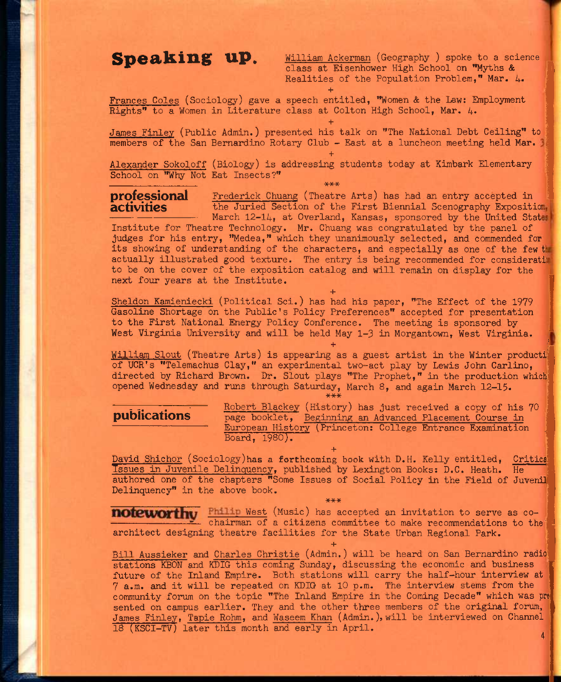Speaking up. William Ackerman (Geography ) spoke to a science class at Eisenhower High School on "Myths & Realities of the Population Problem," Mar. 4. + ;

Frances Coles (Sociology) gave a speech entitled, "Women & the Law: Employment Rights" to a Women in Literature class at Colton High School, Mar.  $4.$ 

James Finley (Public Admin.) presented his talk on "The National Debt Ceiling" to members of the San Bernardino Rotary Club - East at a luncheon meeting held Mar.

**+** 

**+** 

\*\*\*

Alexander Sokoloff (Biology) is addressing students today at Kimbark Elementary School on "Why Not Eat Insects?"

**professional** Frederick Chuang (Theatre Arts) has had an entry accepted in **activities** the Juried Section of the First Biennial Scenography Expositi the Juried Section of the First Biennial Scenography Exposition. March 12-14, at Overland, Kansas, sponsored by the United States

Institute for Theatre Technology. Mr. Chuang was congratulated by the panel of judges for his entry, "Medea," which they unanimously selected, and commended for its showing of understanding of the characters, and especially as one of the few the actually illustrated good texture. The entry is being recommended for considerati to be on the cover of the exposition catalog and will remain on display for the next four years at the Institute.

**+**  Sheldon Kamieniecki (Political Sci.) has had his paper, "The Effect of the 1979 Gasoline Shortage on the Public's Policy Preferences" accepted for presentation to the First National Energy Policy Conference. The meeting is sponsored by West Virginia University and will be held May 1-3 in Morgantown, West Virginia.

William Slout (Theatre Arts) is appearing as a guest artist in the Winter producti of UCR's "Telemachus Clay," an experimental two-act play by Lewis John Carlino, directed by Richard Brown. Dr. Slout plays "The Prophet," in the production which opened Wednesday and runs through Saturday, March 8, and again March 12-15. **\*\*\*** 

**+** 

**rance in The Robert Blackey** (History) has just received a copy of his 70 **publications** bagge booklet. Beginning an Advanced Placement Course in page booklet, Beginning an Advanced Placement Course in European History (Princeton: College Entrance Examination Board, 1980),

**+**  David Shichor (Sociology)has a forthcoming book with D.H. Kelly entitled, Critical Tssues in Juvenile Delinquency, published by Lexington Books: D.C, Heath. He authored one of the chapters "Some Issues of Social Policy in the Field of Juvenil Delinquency" in the above book. \*\*\*

West (Music) has accepted an invitation to serve as co-  $\leq$  chairman of a citizens committee to make recommendations to the architect designing theatre facilities for the State Urban Regional Park.

**+**  Bill Aussieker and Charles Christie (Admin.) will be heard on San Bernardino radio stations KBON and KDIG this coming Sunday, discussing the economic and business future of the Inland Empire. Both stations will carry the half-hour interview at 7 a.m. and it will be repeated on KDIG at 10 p.m. The Interview stems from the community forum on the topic "The Inland Empire in the Coming Decade" which was pre sented on campus earlier. They and the other three members of the original forum, James Finley, Tapie Rohm, and Waseem Khan (Admin.), will be interviewed on Channel 18 (KSCI-TV) later this month and early in April. 4